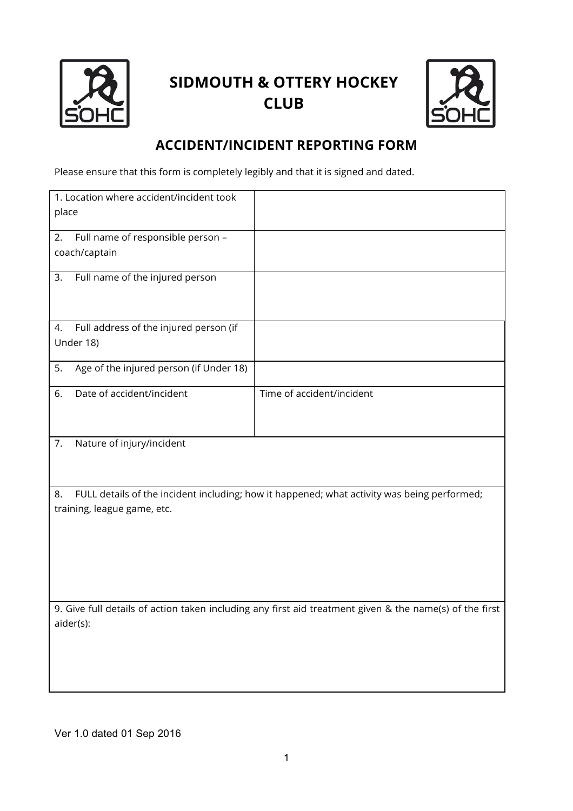

## **SIDMOUTH & OTTERY HOCKEY CLUB**



## **ACCIDENT/INCIDENT REPORTING FORM**

Please ensure that this form is completely legibly and that it is signed and dated.

| 1. Location where accident/incident took                                                                |                                                                                             |  |
|---------------------------------------------------------------------------------------------------------|---------------------------------------------------------------------------------------------|--|
| place                                                                                                   |                                                                                             |  |
| Full name of responsible person -<br>2.                                                                 |                                                                                             |  |
| coach/captain                                                                                           |                                                                                             |  |
| Full name of the injured person<br>3.                                                                   |                                                                                             |  |
| Full address of the injured person (if<br>4.                                                            |                                                                                             |  |
| Under 18)                                                                                               |                                                                                             |  |
| Age of the injured person (if Under 18)<br>5.                                                           |                                                                                             |  |
| Date of accident/incident<br>6.                                                                         | Time of accident/incident                                                                   |  |
| Nature of injury/incident<br>7.                                                                         |                                                                                             |  |
|                                                                                                         |                                                                                             |  |
| 8.                                                                                                      | FULL details of the incident including; how it happened; what activity was being performed; |  |
| training, league game, etc.                                                                             |                                                                                             |  |
|                                                                                                         |                                                                                             |  |
|                                                                                                         |                                                                                             |  |
|                                                                                                         |                                                                                             |  |
| 9. Give full details of action taken including any first aid treatment given & the name(s) of the first |                                                                                             |  |
| aider(s):                                                                                               |                                                                                             |  |
|                                                                                                         |                                                                                             |  |
|                                                                                                         |                                                                                             |  |
|                                                                                                         |                                                                                             |  |

Ver 1.0 dated 01 Sep 2016